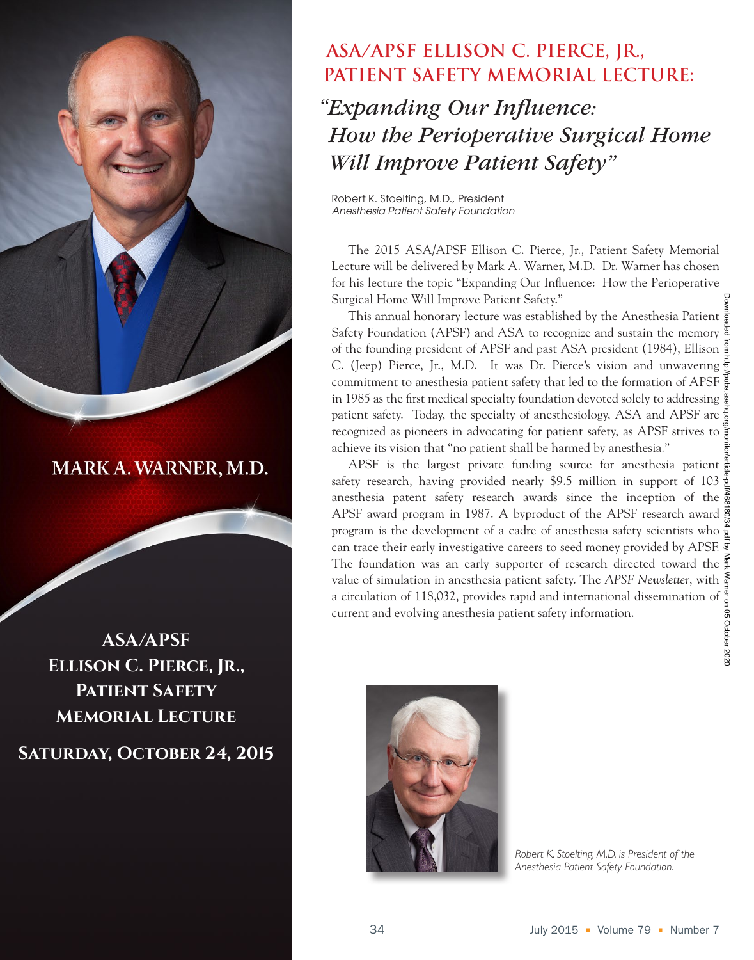

MARK A. WARNER, M.D.

**ASA/APSF Ellison C. Pierce, Jr., Patient Safety Memorial Lecture**

**Saturday, October 24, 2015**

## **ASA/APSF ELLISON C. PIERCE, JR., PATIENT SAFETY MEMORIAL LECTURE:**

 *"Expanding Our Influence: How the Perioperative Surgical Home Will Improve Patient Safety"*

Robert K. Stoelting, M.D., President *Anesthesia Patient Safety Foundation*

The 2015 ASA/APSF Ellison C. Pierce, Jr., Patient Safety Memorial Lecture will be delivered by Mark A. Warner, M.D. Dr. Warner has chosen for his lecture the topic "Expanding Our Influence: How the Perioperative Surgical Home Will Improve Patient Safety."

This annual honorary lecture was established by the Anesthesia Patient  $\frac{3}{8}$ Safety Foundation (APSF) and ASA to recognize and sustain the memory  $\frac{8}{3}$ of the founding president of APSF and past ASA president (1984), Ellison C. (Jeep) Pierce, Jr., M.D. It was Dr. Pierce's vision and unwavering commitment to anesthesia patient safety that led to the formation of APSF in 1985 as the first medical specialty foundation devoted solely to addressing patient safety. Today, the specialty of anesthesiology, ASA and APSF are  $\frac{5}{9}$ recognized as pioneers in advocating for patient safety, as APSF strives to achieve its vision that "no patient shall be harmed by anesthesia."

APSF is the largest private funding source for anesthesia patient safety research, having provided nearly \$9.5 million in support of 103  $\frac{9}{5}$ anesthesia patent safety research awards since the inception of the  $\frac{5}{22}$ APSF award program in 1987. A byproduct of the APSF research award program is the development of a cadre of anesthesia safety scientists who  $\frac{5}{8}$ can trace their early investigative careers to seed money provided by APSF. The foundation was an early supporter of research directed toward the  $\frac{3}{2}$ value of simulation in anesthesia patient safety. The *APSF Newsletter*, with a circulation of 118,032, provides rapid and international dissemination of current and evolving anesthesia patient safety information.



*Robert K. Stoelting, M.D. is President of the Anesthesia Patient Safety Foundation.*